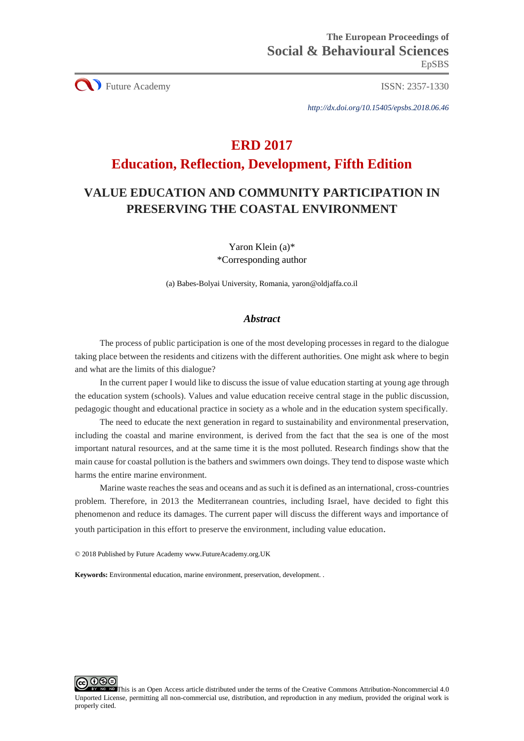CU Future Academy ISSN: 2357-1330

*http://dx.doi.org/10.15405/epsbs.2018.06.46*

# **ERD 2017**

## **Education, Reflection, Development, Fifth Edition**

## **VALUE EDUCATION AND COMMUNITY PARTICIPATION IN PRESERVING THE COASTAL ENVIRONMENT**

Yaron Klein (a)\* \*Corresponding author

(a) Babes-Bolyai University, Romania, yaron@oldjaffa.co.il

## *Abstract*

The process of public participation is one of the most developing processes in regard to the dialogue taking place between the residents and citizens with the different authorities. One might ask where to begin and what are the limits of this dialogue?

In the current paper I would like to discuss the issue of value education starting at young age through the education system (schools). Values and value education receive central stage in the public discussion, pedagogic thought and educational practice in society as a whole and in the education system specifically.

The need to educate the next generation in regard to sustainability and environmental preservation, including the coastal and marine environment, is derived from the fact that the sea is one of the most important natural resources, and at the same time it is the most polluted. Research findings show that the main cause for coastal pollution is the bathers and swimmers own doings. They tend to dispose waste which harms the entire marine environment.

Marine waste reaches the seas and oceans and as such it is defined as an international, cross-countries problem. Therefore, in 2013 the Mediterranean countries, including Israel, have decided to fight this phenomenon and reduce its damages. The current paper will discuss the different ways and importance of youth participation in this effort to preserve the environment, including value education.

© 2018 Published by Future Academy www.FutureAcademy.org.UK

**Keywords:** Environmental education, marine environment, preservation, development. .

<u> ල ල ල</u> This is an Open Access article distributed under the terms of the Creative Commons Attribution-Noncommercial 4.0 Unported License, permitting all non-commercial use, distribution, and reproduction in any medium, provided the original work is properly cited.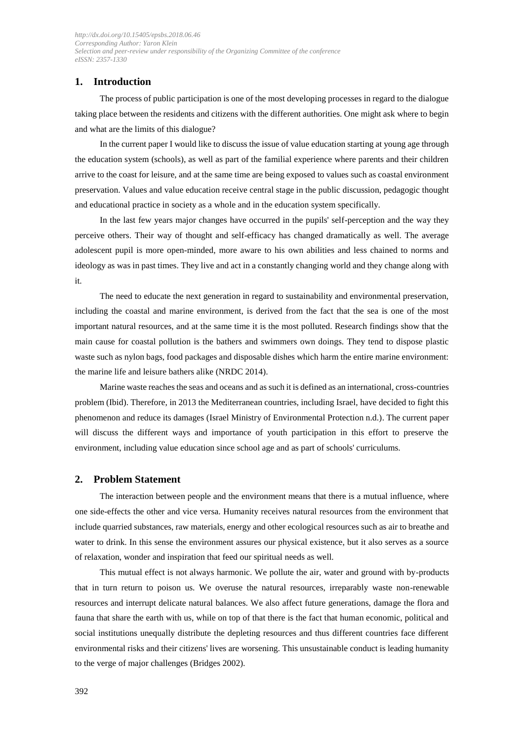### **1. Introduction**

The process of public participation is one of the most developing processes in regard to the dialogue taking place between the residents and citizens with the different authorities. One might ask where to begin and what are the limits of this dialogue?

In the current paper I would like to discuss the issue of value education starting at young age through the education system (schools), as well as part of the familial experience where parents and their children arrive to the coast for leisure, and at the same time are being exposed to values such as coastal environment preservation. Values and value education receive central stage in the public discussion, pedagogic thought and educational practice in society as a whole and in the education system specifically.

In the last few years major changes have occurred in the pupils' self-perception and the way they perceive others. Their way of thought and self-efficacy has changed dramatically as well. The average adolescent pupil is more open-minded, more aware to his own abilities and less chained to norms and ideology as was in past times. They live and act in a constantly changing world and they change along with it.

The need to educate the next generation in regard to sustainability and environmental preservation, including the coastal and marine environment, is derived from the fact that the sea is one of the most important natural resources, and at the same time it is the most polluted. Research findings show that the main cause for coastal pollution is the bathers and swimmers own doings. They tend to dispose plastic waste such as nylon bags, food packages and disposable dishes which harm the entire marine environment: the marine life and leisure bathers alike (NRDC 2014).

Marine waste reaches the seas and oceans and as such it is defined as an international, cross-countries problem (Ibid). Therefore, in 2013 the Mediterranean countries, including Israel, have decided to fight this phenomenon and reduce its damages (Israel Ministry of Environmental Protection n.d.). The current paper will discuss the different ways and importance of youth participation in this effort to preserve the environment, including value education since school age and as part of schools' curriculums.

#### **2. Problem Statement**

The interaction between people and the environment means that there is a mutual influence, where one side-effects the other and vice versa. Humanity receives natural resources from the environment that include quarried substances, raw materials, energy and other ecological resources such as air to breathe and water to drink. In this sense the environment assures our physical existence, but it also serves as a source of relaxation, wonder and inspiration that feed our spiritual needs as well.

This mutual effect is not always harmonic. We pollute the air, water and ground with by-products that in turn return to poison us. We overuse the natural resources, irreparably waste non-renewable resources and interrupt delicate natural balances. We also affect future generations, damage the flora and fauna that share the earth with us, while on top of that there is the fact that human economic, political and social institutions unequally distribute the depleting resources and thus different countries face different environmental risks and their citizens' lives are worsening. This unsustainable conduct is leading humanity to the verge of major challenges (Bridges 2002).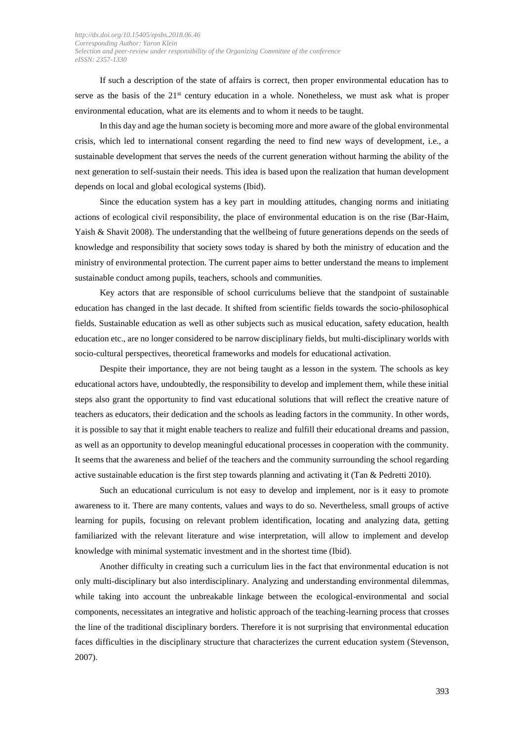If such a description of the state of affairs is correct, then proper environmental education has to serve as the basis of the  $21<sup>st</sup>$  century education in a whole. Nonetheless, we must ask what is proper environmental education, what are its elements and to whom it needs to be taught.

In this day and age the human society is becoming more and more aware of the global environmental crisis, which led to international consent regarding the need to find new ways of development, i.e., a sustainable development that serves the needs of the current generation without harming the ability of the next generation to self-sustain their needs. This idea is based upon the realization that human development depends on local and global ecological systems (Ibid).

Since the education system has a key part in moulding attitudes, changing norms and initiating actions of ecological civil responsibility, the place of environmental education is on the rise (Bar-Haim, Yaish & Shavit 2008). The understanding that the wellbeing of future generations depends on the seeds of knowledge and responsibility that society sows today is shared by both the ministry of education and the ministry of environmental protection. The current paper aims to better understand the means to implement sustainable conduct among pupils, teachers, schools and communities.

Key actors that are responsible of school curriculums believe that the standpoint of sustainable education has changed in the last decade. It shifted from scientific fields towards the socio-philosophical fields. Sustainable education as well as other subjects such as musical education, safety education, health education etc., are no longer considered to be narrow disciplinary fields, but multi-disciplinary worlds with socio-cultural perspectives, theoretical frameworks and models for educational activation.

Despite their importance, they are not being taught as a lesson in the system. The schools as key educational actors have, undoubtedly, the responsibility to develop and implement them, while these initial steps also grant the opportunity to find vast educational solutions that will reflect the creative nature of teachers as educators, their dedication and the schools as leading factors in the community. In other words, it is possible to say that it might enable teachers to realize and fulfill their educational dreams and passion, as well as an opportunity to develop meaningful educational processes in cooperation with the community. It seems that the awareness and belief of the teachers and the community surrounding the school regarding active sustainable education is the first step towards planning and activating it (Tan & Pedretti 2010).

Such an educational curriculum is not easy to develop and implement, nor is it easy to promote awareness to it. There are many contents, values and ways to do so. Nevertheless, small groups of active learning for pupils, focusing on relevant problem identification, locating and analyzing data, getting familiarized with the relevant literature and wise interpretation, will allow to implement and develop knowledge with minimal systematic investment and in the shortest time (Ibid).

Another difficulty in creating such a curriculum lies in the fact that environmental education is not only multi-disciplinary but also interdisciplinary. Analyzing and understanding environmental dilemmas, while taking into account the unbreakable linkage between the ecological-environmental and social components, necessitates an integrative and holistic approach of the teaching-learning process that crosses the line of the traditional disciplinary borders. Therefore it is not surprising that environmental education faces difficulties in the disciplinary structure that characterizes the current education system (Stevenson, 2007).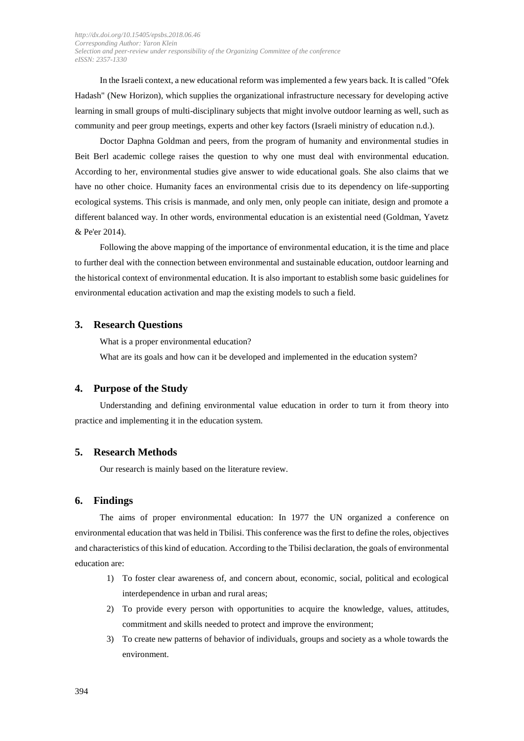In the Israeli context, a new educational reform was implemented a few years back. It is called "Ofek Hadash" (New Horizon), which supplies the organizational infrastructure necessary for developing active learning in small groups of multi-disciplinary subjects that might involve outdoor learning as well, such as community and peer group meetings, experts and other key factors (Israeli ministry of education n.d.).

Doctor Daphna Goldman and peers, from the program of humanity and environmental studies in Beit Berl academic college raises the question to why one must deal with environmental education. According to her, environmental studies give answer to wide educational goals. She also claims that we have no other choice. Humanity faces an environmental crisis due to its dependency on life-supporting ecological systems. This crisis is manmade, and only men, only people can initiate, design and promote a different balanced way. In other words, environmental education is an existential need (Goldman, Yavetz & Pe'er 2014).

Following the above mapping of the importance of environmental education, it is the time and place to further deal with the connection between environmental and sustainable education, outdoor learning and the historical context of environmental education. It is also important to establish some basic guidelines for environmental education activation and map the existing models to such a field.

#### **3. Research Questions**

What is a proper environmental education?

What are its goals and how can it be developed and implemented in the education system?

#### **4. Purpose of the Study**

Understanding and defining environmental value education in order to turn it from theory into practice and implementing it in the education system.

#### **5. Research Methods**

Our research is mainly based on the literature review.

#### **6. Findings**

The aims of proper environmental education: In 1977 the UN organized a conference on environmental education that was held in Tbilisi. This conference was the first to define the roles, objectives and characteristics of this kind of education. According to the Tbilisi declaration, the goals of environmental education are:

- 1) To foster clear awareness of, and concern about, economic, social, political and ecological interdependence in urban and rural areas;
- 2) To provide every person with opportunities to acquire the knowledge, values, attitudes, commitment and skills needed to protect and improve the environment;
- 3) To create new patterns of behavior of individuals, groups and society as a whole towards the environment.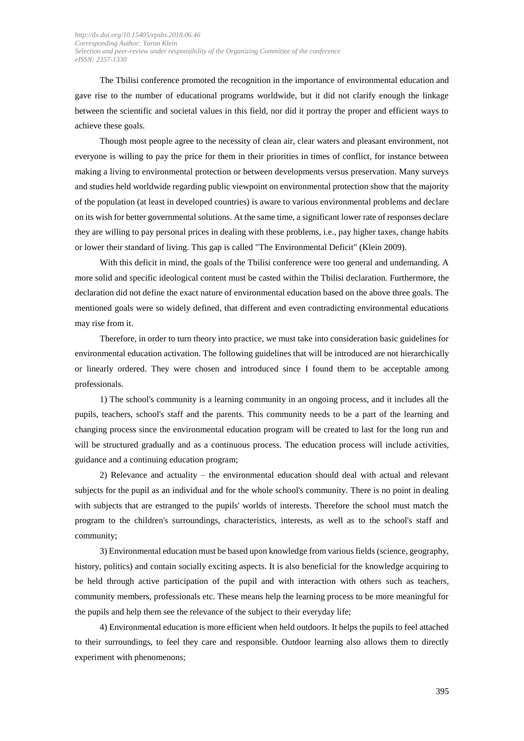The Tbilisi conference promoted the recognition in the importance of environmental education and gave rise to the number of educational programs worldwide, but it did not clarify enough the linkage between the scientific and societal values in this field, nor did it portray the proper and efficient ways to achieve these goals.

Though most people agree to the necessity of clean air, clear waters and pleasant environment, not everyone is willing to pay the price for them in their priorities in times of conflict, for instance between making a living to environmental protection or between developments versus preservation. Many surveys and studies held worldwide regarding public viewpoint on environmental protection show that the majority of the population (at least in developed countries) is aware to various environmental problems and declare on its wish for better governmental solutions. At the same time, a significant lower rate of responses declare they are willing to pay personal prices in dealing with these problems, i.e., pay higher taxes, change habits or lower their standard of living. This gap is called "The Environmental Deficit" (Klein 2009).

With this deficit in mind, the goals of the Tbilisi conference were too general and undemanding. A more solid and specific ideological content must be casted within the Tbilisi declaration. Furthermore, the declaration did not define the exact nature of environmental education based on the above three goals. The mentioned goals were so widely defined, that different and even contradicting environmental educations may rise from it.

Therefore, in order to turn theory into practice, we must take into consideration basic guidelines for environmental education activation. The following guidelines that will be introduced are not hierarchically or linearly ordered. They were chosen and introduced since I found them to be acceptable among professionals.

1) The school's community is a learning community in an ongoing process, and it includes all the pupils, teachers, school's staff and the parents. This community needs to be a part of the learning and changing process since the environmental education program will be created to last for the long run and will be structured gradually and as a continuous process. The education process will include activities, guidance and a continuing education program;

2) Relevance and actuality – the environmental education should deal with actual and relevant subjects for the pupil as an individual and for the whole school's community. There is no point in dealing with subjects that are estranged to the pupils' worlds of interests. Therefore the school must match the program to the children's surroundings, characteristics, interests, as well as to the school's staff and community;

3) Environmental education must be based upon knowledge from various fields (science, geography, history, politics) and contain socially exciting aspects. It is also beneficial for the knowledge acquiring to be held through active participation of the pupil and with interaction with others such as teachers, community members, professionals etc. These means help the learning process to be more meaningful for the pupils and help them see the relevance of the subject to their everyday life;

4) Environmental education is more efficient when held outdoors. It helps the pupils to feel attached to their surroundings, to feel they care and responsible. Outdoor learning also allows them to directly experiment with phenomenons;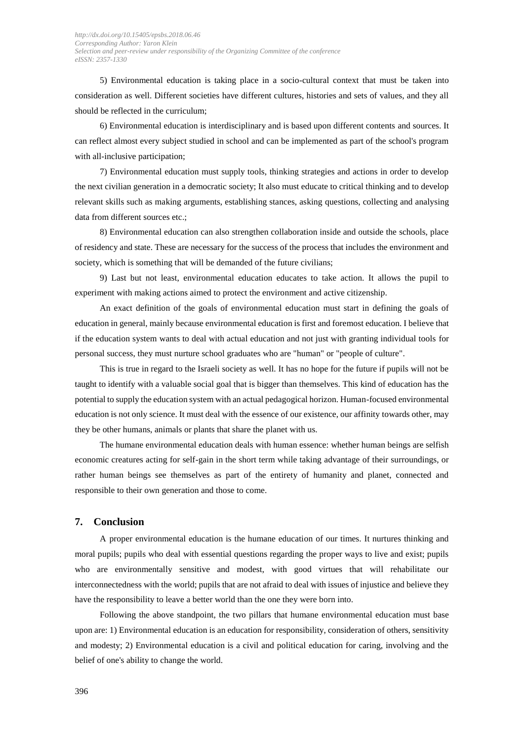5) Environmental education is taking place in a socio-cultural context that must be taken into consideration as well. Different societies have different cultures, histories and sets of values, and they all should be reflected in the curriculum;

6) Environmental education is interdisciplinary and is based upon different contents and sources. It can reflect almost every subject studied in school and can be implemented as part of the school's program with all-inclusive participation;

7) Environmental education must supply tools, thinking strategies and actions in order to develop the next civilian generation in a democratic society; It also must educate to critical thinking and to develop relevant skills such as making arguments, establishing stances, asking questions, collecting and analysing data from different sources etc.;

8) Environmental education can also strengthen collaboration inside and outside the schools, place of residency and state. These are necessary for the success of the process that includes the environment and society, which is something that will be demanded of the future civilians;

9) Last but not least, environmental education educates to take action. It allows the pupil to experiment with making actions aimed to protect the environment and active citizenship.

An exact definition of the goals of environmental education must start in defining the goals of education in general, mainly because environmental education is first and foremost education. I believe that if the education system wants to deal with actual education and not just with granting individual tools for personal success, they must nurture school graduates who are "human" or "people of culture".

This is true in regard to the Israeli society as well. It has no hope for the future if pupils will not be taught to identify with a valuable social goal that is bigger than themselves. This kind of education has the potential to supply the education system with an actual pedagogical horizon. Human-focused environmental education is not only science. It must deal with the essence of our existence, our affinity towards other, may they be other humans, animals or plants that share the planet with us.

The humane environmental education deals with human essence: whether human beings are selfish economic creatures acting for self-gain in the short term while taking advantage of their surroundings, or rather human beings see themselves as part of the entirety of humanity and planet, connected and responsible to their own generation and those to come.

#### **7. Conclusion**

A proper environmental education is the humane education of our times. It nurtures thinking and moral pupils; pupils who deal with essential questions regarding the proper ways to live and exist; pupils who are environmentally sensitive and modest, with good virtues that will rehabilitate our interconnectedness with the world; pupils that are not afraid to deal with issues of injustice and believe they have the responsibility to leave a better world than the one they were born into.

Following the above standpoint, the two pillars that humane environmental education must base upon are: 1) Environmental education is an education for responsibility, consideration of others, sensitivity and modesty; 2) Environmental education is a civil and political education for caring, involving and the belief of one's ability to change the world.